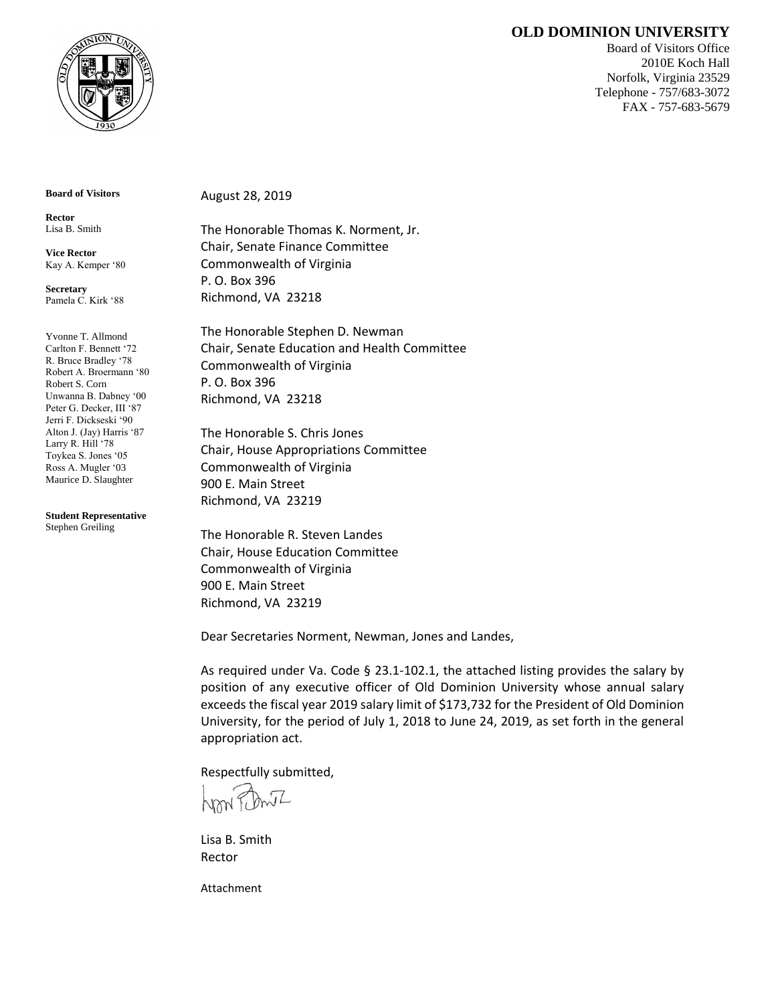## **OLD DOMINION UNIVERSITY**



Board of Visitors Office 2010E Koch Hall Norfolk, Virginia 23529 Telephone - 757/683-3072 FAX - 757-683-5679

**Board of Visitors**

**Rector** Lisa B. Smith

**Vice Rector** Kay A. Kemper '80

**Secretary** Pamela C. Kirk '88

Yvonne T. Allmond Carlton F. Bennett '72 R. Bruce Bradley '78 Robert A. Broermann '80 Robert S. Corn Unwanna B. Dabney '00 Peter G. Decker, III '87 Jerri F. Dickseski '90 Alton J. (Jay) Harris '87 Larry R. Hill '78 Toykea S. Jones '05 Ross A. Mugler '03 Maurice D. Slaughter

**Student Representative** Stephen Greiling

August 28, 2019

The Honorable Thomas K. Norment, Jr. Chair, Senate Finance Committee Commonwealth of Virginia P. O. Box 396 Richmond, VA 23218

The Honorable Stephen D. Newman Chair, Senate Education and Health Committee Commonwealth of Virginia P. O. Box 396 Richmond, VA 23218

The Honorable S. Chris Jones Chair, House Appropriations Committee Commonwealth of Virginia 900 E. Main Street Richmond, VA 23219

The Honorable R. Steven Landes Chair, House Education Committee Commonwealth of Virginia 900 E. Main Street Richmond, VA 23219

Dear Secretaries Norment, Newman, Jones and Landes,

As required under Va. Code § 23.1-102.1, the attached listing provides the salary by position of any executive officer of Old Dominion University whose annual salary exceeds the fiscal year 2019 salary limit of \$173,732 for the President of Old Dominion University, for the period of July 1, 2018 to June 24, 2019, as set forth in the general appropriation act.

Respectfully submitted,

Lisa B. Smith Rector

Attachment